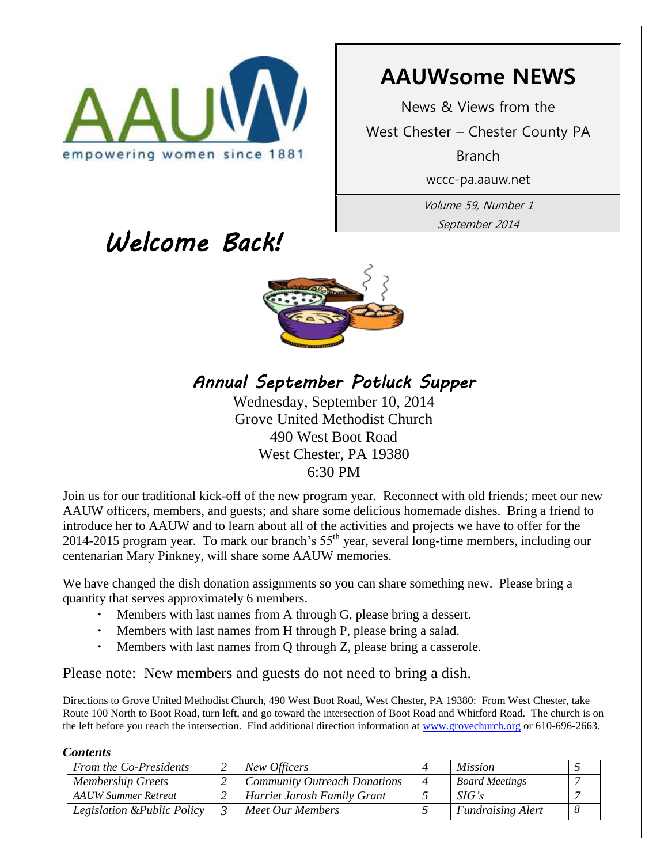

# **AAUWsome NEWS**

News & Views from the West Chester – Chester County PA Branch

wccc-pa.aauw.net

Volume 59, Number 1 September 2014

# *Welcome Back!*



*Annual September Potluck Supper* 

Wednesday, September 10, 2014 Grove United Methodist Church 490 West Boot Road West Chester, PA 19380 6:30 PM

Join us for our traditional kick-off of the new program year. Reconnect with old friends; meet our new AAUW officers, members, and guests; and share some delicious homemade dishes. Bring a friend to introduce her to AAUW and to learn about all of the activities and projects we have to offer for the 2014-2015 program year. To mark our branch's  $55<sup>th</sup>$  year, several long-time members, including our centenarian Mary Pinkney, will share some AAUW memories.

We have changed the dish donation assignments so you can share something new. Please bring a quantity that serves approximately 6 members.

- Members with last names from A through G, please bring a dessert.
- Members with last names from H through P, please bring a salad.
- Members with last names from Q through Z, please bring a casserole.

Please note: New members and guests do not need to bring a dish.

Directions to Grove United Methodist Church, 490 West Boot Road, West Chester, PA 19380: From West Chester, take Route 100 North to Boot Road, turn left, and go toward the intersection of Boot Road and Whitford Road. The church is on the left before you reach the intersection. Find additional direction information at [www.grovechurch.org](http://www.grovechurch.org/) or 610-696-2663.

### *Contents*

| From the Co-Presidents      | New Officers                        |                | <i>Mission</i>           |  |
|-----------------------------|-------------------------------------|----------------|--------------------------|--|
| <b>Membership Greets</b>    | <b>Community Outreach Donations</b> | $\overline{4}$ | <b>Board Meetings</b>    |  |
| <b>AAUW Summer Retreat</b>  | Harriet Jarosh Family Grant         |                | SIG's                    |  |
| Legislation & Public Policy | Meet Our Members                    |                | <b>Fundraising Alert</b> |  |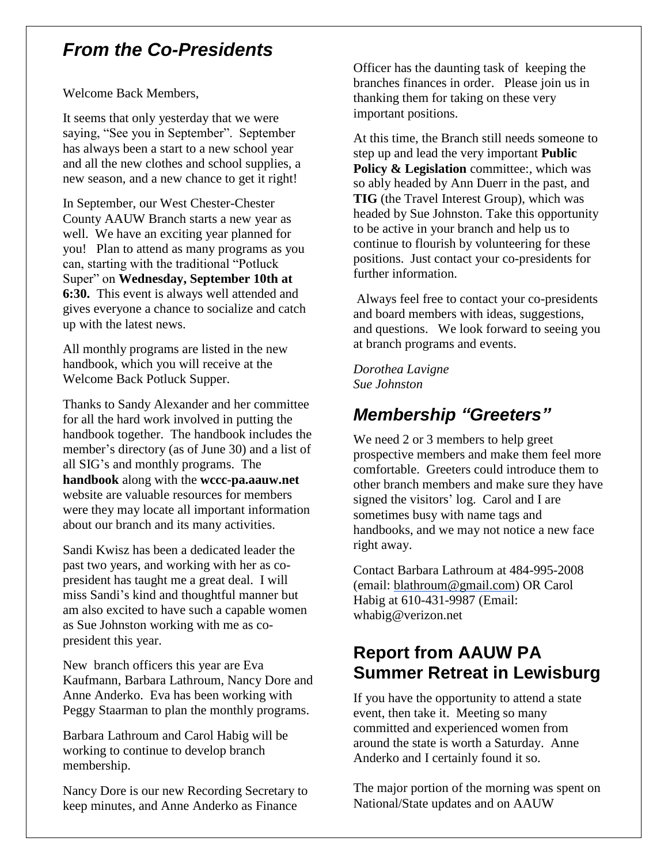# *From the Co-Presidents*

Welcome Back Members,

It seems that only yesterday that we were saying, "See you in September". September has always been a start to a new school year and all the new clothes and school supplies, a new season, and a new chance to get it right!

In September, our West Chester-Chester County AAUW Branch starts a new year as well. We have an exciting year planned for you! Plan to attend as many programs as you can, starting with the traditional "Potluck Super" on **Wednesday, September 10th at 6:30.** This event is always well attended and gives everyone a chance to socialize and catch up with the latest news.

All monthly programs are listed in the new handbook, which you will receive at the Welcome Back Potluck Supper.

Thanks to Sandy Alexander and her committee for all the hard work involved in putting the handbook together. The handbook includes the member's directory (as of June 30) and a list of all SIG's and monthly programs. The **handbook** along with the **wccc-pa.aauw.net**  website are valuable resources for members were they may locate all important information about our branch and its many activities.

Sandi Kwisz has been a dedicated leader the past two years, and working with her as copresident has taught me a great deal. I will miss Sandi's kind and thoughtful manner but am also excited to have such a capable women as Sue Johnston working with me as copresident this year.

New branch officers this year are Eva Kaufmann, Barbara Lathroum, Nancy Dore and Anne Anderko. Eva has been working with Peggy Staarman to plan the monthly programs.

Barbara Lathroum and Carol Habig will be working to continue to develop branch membership.

Nancy Dore is our new Recording Secretary to keep minutes, and Anne Anderko as Finance

Officer has the daunting task of keeping the branches finances in order. Please join us in thanking them for taking on these very important positions.

At this time, the Branch still needs someone to step up and lead the very important **Public Policy & Legislation** committee:, which was so ably headed by Ann Duerr in the past, and **TIG** (the Travel Interest Group), which was headed by Sue Johnston. Take this opportunity to be active in your branch and help us to continue to flourish by volunteering for these positions. Just contact your co-presidents for further information.

Always feel free to contact your co-presidents and board members with ideas, suggestions, and questions. We look forward to seeing you at branch programs and events.

*Dorothea Lavigne Sue Johnston*

# *Membership "Greeters"*

We need 2 or 3 members to help greet prospective members and make them feel more comfortable. Greeters could introduce them to other branch members and make sure they have signed the visitors' log. Carol and I are sometimes busy with name tags and handbooks, and we may not notice a new face right away.

Contact Barbara Lathroum at 484-995-2008 (email: [blathroum@gmail.com\)](mailto:blathroum@gmail.com) OR Carol Habig at 610-431-9987 (Email: whabig@verizon.net

# **Report from AAUW PA Summer Retreat in Lewisburg**

If you have the opportunity to attend a state event, then take it. Meeting so many committed and experienced women from around the state is worth a Saturday. Anne Anderko and I certainly found it so.

The major portion of the morning was spent on National/State updates and on AAUW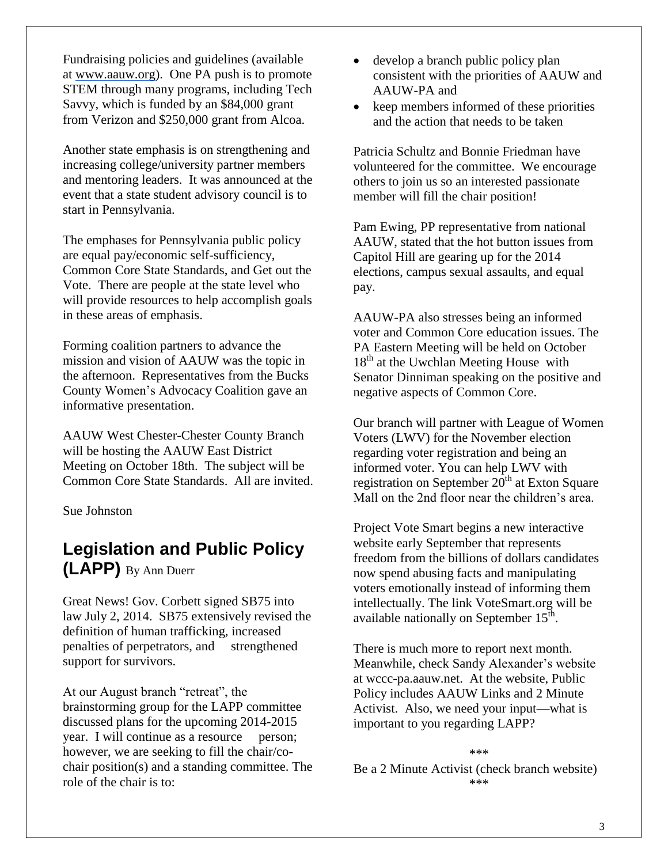Fundraising policies and guidelines (available at [www.aauw.org\)](http://www.aauw.org/). One PA push is to promote STEM through many programs, including Tech Savvy, which is funded by an \$84,000 grant from Verizon and \$250,000 grant from Alcoa.

Another state emphasis is on strengthening and increasing college/university partner members and mentoring leaders. It was announced at the event that a state student advisory council is to start in Pennsylvania.

The emphases for Pennsylvania public policy are equal pay/economic self-sufficiency, Common Core State Standards, and Get out the Vote. There are people at the state level who will provide resources to help accomplish goals in these areas of emphasis.

Forming coalition partners to advance the mission and vision of AAUW was the topic in the afternoon. Representatives from the Bucks County Women's Advocacy Coalition gave an informative presentation.

AAUW West Chester-Chester County Branch will be hosting the AAUW East District Meeting on October 18th. The subject will be Common Core State Standards. All are invited.

Sue Johnston

# **Legislation and Public Policy (LAPP)** By Ann Duerr

Great News! Gov. Corbett signed SB75 into law July 2, 2014. SB75 extensively revised the definition of human trafficking, increased penalties of perpetrators, and strengthened support for survivors.

At our August branch "retreat", the brainstorming group for the LAPP committee discussed plans for the upcoming 2014-2015 year. I will continue as a resource person; however, we are seeking to fill the chair/cochair position(s) and a standing committee. The role of the chair is to:

- develop a branch public policy plan consistent with the priorities of AAUW and AAUW-PA and
- keep members informed of these priorities and the action that needs to be taken

Patricia Schultz and Bonnie Friedman have volunteered for the committee. We encourage others to join us so an interested passionate member will fill the chair position!

Pam Ewing, PP representative from national AAUW, stated that the hot button issues from Capitol Hill are gearing up for the 2014 elections, campus sexual assaults, and equal pay.

AAUW-PA also stresses being an informed voter and Common Core education issues. The PA Eastern Meeting will be held on October  $18<sup>th</sup>$  at the Uwchlan Meeting House with Senator Dinniman speaking on the positive and negative aspects of Common Core.

Our branch will partner with League of Women Voters (LWV) for the November election regarding voter registration and being an informed voter. You can help LWV with registration on September  $20<sup>th</sup>$  at Exton Square Mall on the 2nd floor near the children's area.

Project Vote Smart begins a new interactive website early September that represents freedom from the billions of dollars candidates now spend abusing facts and manipulating voters emotionally instead of informing them intellectually. The link VoteSmart.org will be available nationally on September  $15^{\text{th}}$ .

There is much more to report next month. Meanwhile, check Sandy Alexander's website at wccc-pa.aauw.net. At the website, Public Policy includes AAUW Links and 2 Minute Activist. Also, we need your input—what is important to you regarding LAPP?

Be a 2 Minute Activist (check branch website) \*\*\*

\*\*\*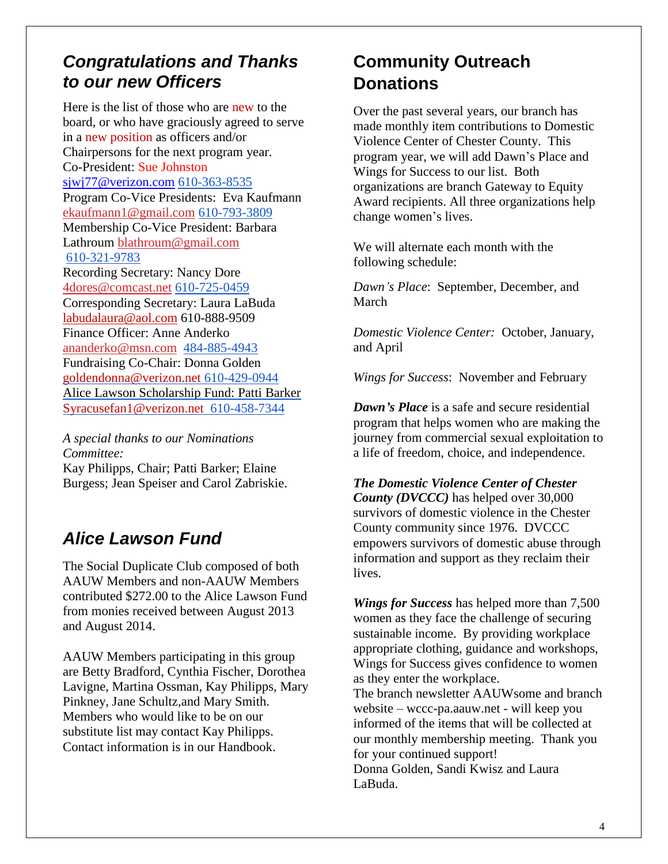# *Congratulations and Thanks to our new Officers*

Here is the list of those who are new to the board, or who have graciously agreed to serve in a new position as officers and/or Chairpersons for the next program year. Co-President: Sue Johnston [sjwj77@verizon.com](mailto:sjwj77@verizon.com) 610-363-8535 Program Co-Vice Presidents: Eva Kaufmann [ekaufmann1@gmail.com](mailto:ekaufmann1@gmail.com) 610-793-3809 Membership Co-Vice President: Barbara Lathroum [blathroum@gmail.com](mailto:blathroum@gmail.com) 610-321-9783 Recording Secretary: Nancy Dore [4dores@comcast.net](mailto:4dores@comcast.net) 610-725-0459 Corresponding Secretary: Laura LaBuda labudalaura@aol.com 610-888-9509 Finance Officer: Anne Anderko [ananderko@msn.com](mailto:ananderko@msn.com) 484-885-4943 Fundraising Co-Chair: Donna Golden [goldendonna@verizon.net](mailto:goldendonna@verizon.net) 610-429-0944 Alice Lawson Scholarship Fund: Patti Barker [Syracusefan1@verizon.net](mailto:Syracusefan1@verizon.net) 610-458-7344

*A special thanks to our Nominations Committee:* Kay Philipps, Chair; Patti Barker; Elaine Burgess; Jean Speiser and Carol Zabriskie.

# *Alice Lawson Fund*

The Social Duplicate Club composed of both AAUW Members and non-AAUW Members contributed \$272.00 to the Alice Lawson Fund from monies received between August 2013 and August 2014.

AAUW Members participating in this group are Betty Bradford, Cynthia Fischer, Dorothea Lavigne, Martina Ossman, Kay Philipps, Mary Pinkney, Jane Schultz,and Mary Smith. Members who would like to be on our substitute list may contact Kay Philipps. Contact information is in our Handbook.

# **Community Outreach Donations**

Over the past several years, our branch has made monthly item contributions to Domestic Violence Center of Chester County. This program year, we will add Dawn's Place and Wings for Success to our list. Both organizations are branch Gateway to Equity Award recipients. All three organizations help change women's lives.

We will alternate each month with the following schedule:

*Dawn's Place*: September, December, and March

*Domestic Violence Center:* October, January, and April

*Wings for Success*: November and February

*Dawn's Place* is a safe and secure residential program that helps women who are making the journey from commercial sexual exploitation to a life of freedom, choice, and independence.

*The Domestic Violence Center of Chester County (DVCCC)* has helped over 30,000 survivors of domestic violence in the Chester County community since 1976. DVCCC empowers survivors of domestic abuse through information and support as they reclaim their lives.

*Wings for Success* has helped more than 7,500 women as they face the challenge of securing sustainable income. By providing workplace appropriate clothing, guidance and workshops, Wings for Success gives confidence to women as they enter the workplace. The branch newsletter AAUWsome and branch website – wccc-pa.aauw.net - will keep you informed of the items that will be collected at our monthly membership meeting. Thank you for your continued support! Donna Golden, Sandi Kwisz and Laura LaBuda.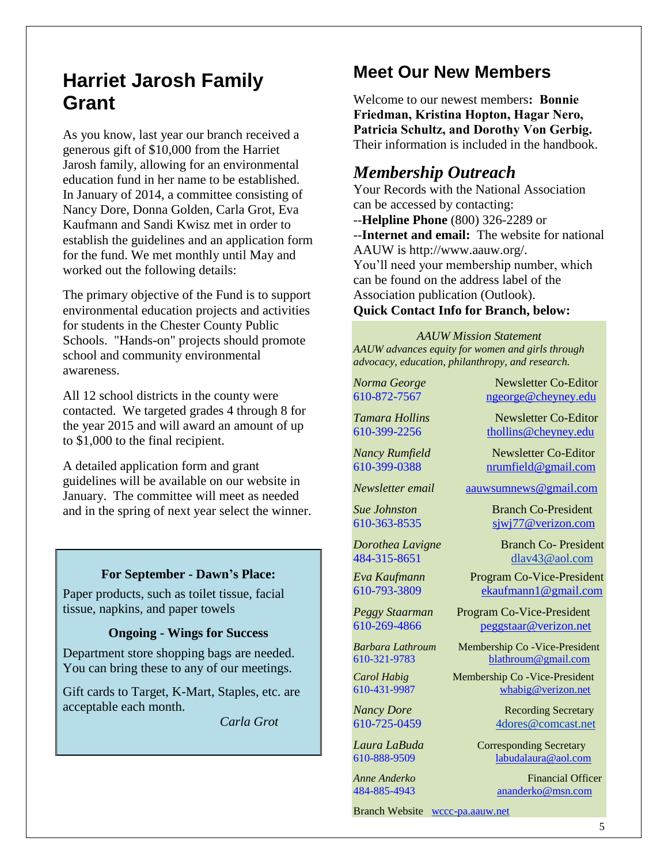# **Harriet Jarosh Family Grant**

As you know, last year our branch received a generous gift of \$10,000 from the Harriet Jarosh family, allowing for an environmental education fund in her name to be established. In January of 2014, a committee consisting of Nancy Dore, Donna Golden, Carla Grot, Eva Kaufmann and Sandi Kwisz met in order to establish the guidelines and an application form for the fund. We met monthly until May and worked out the following details:

The primary objective of the Fund is to support environmental education projects and activities for students in the Chester County Public Schools. "Hands-on" projects should promote school and community environmental awareness.

All 12 school districts in the county were contacted. We targeted grades 4 through 8 for the year 2015 and will award an amount of up to \$1,000 to the final recipient.

A detailed application form and grant guidelines will be available on our website in January. The committee will meet as needed and in the spring of next year select the winner.

#### **For September - Dawn's Place:**

Paper products, such as toilet tissue, facial tissue, napkins, and paper towels

#### **Ongoing - Wings for Success**

Department store shopping bags are needed. You can bring these to any of our meetings.

Gift cards to Target, K-Mart, Staples, etc. are acceptable each month.

*Carla Grot*

# **Meet Our New Members**

Welcome to our newest members**: Bonnie Friedman, Kristina Hopton, Hagar Nero, Patricia Schultz, and Dorothy Von Gerbig.** Their information is included in the handbook.

### *Membership Outreach*

Your Records with the National Association can be accessed by contacting: --**Helpline Phone** (800) 326-2289 or --**Internet and email:** The website for national AAUW is http://www.aauw.org/. You'll need your membership number, which can be found on the address label of the Association publication (Outlook).

#### **Quick Contact Info for Branch, below:**

*AAUW Mission Statement AAUW advances equity for women and girls through advocacy, education, philanthropy, and research.*

*Norma George* Newsletter Co-Editor 610-872-7567 [ngeorge@cheyney.edu](mailto:ngeorge@cheyney.ecu)

*Tamara Hollins* Newsletter Co-Editor

Branch Website [wccc-pa.aauw.net](http://wccc-pa.aauw.net/)

610-399-2256 [thollins@cheyney.edu](mailto:thollins@cheyney.edu)

*Nancy Rumfield* Newsletter Co-Editor 610-399-0388 [nrumfield@gmail.com](mailto:nrumfield@gmail.com)

*Newsletter email* [aauwsumnews@gmail.com](mailto:aauwsumnews@gmail.com)

*Sue Johnston* Branch Co-President [610-363-8535](mailto:610-363-8535) [sjwj77@verizon.com](mailto:sjwj77@verizon.com) 

*Dorothea Lavigne* Branch Co- President 484-315-8651 [dlav43@aol.com](mailto:franpierce@verizon.net)

*Eva Kaufmann* Program Co-Vice-President [610-793-3809](mailto:610-793-3809) ekaufmann1@gmail.com

*Peggy Staarman* Program Co-Vice-President 610-269-4866 [peggstaar@verizon.net](mailto:4dores@comcast.net)

*Barbara Lathroum* Membership Co -Vice-President [610-321-9783](mailto:610-321-9783) [blathroum@gmail.com](mailto:blathroum@gmail.com)

*Carol Habig* Membership Co - Vice-President 610-431-9987 [whabig@verizon.net](mailto:mjschultz46@hotmail.com)

*Nancy Dore* Recording Secretary 610-725-0459 4dores@comcast.net

*Laura LaBuda* **Corresponding Secretary** 610-888-9509 labudalaura@aol.com

*Anne Anderko* Financial Officer [484-885-4943](mailto:484-885-4943) [ananderko@msn.com](mailto:ananderko@msn.com)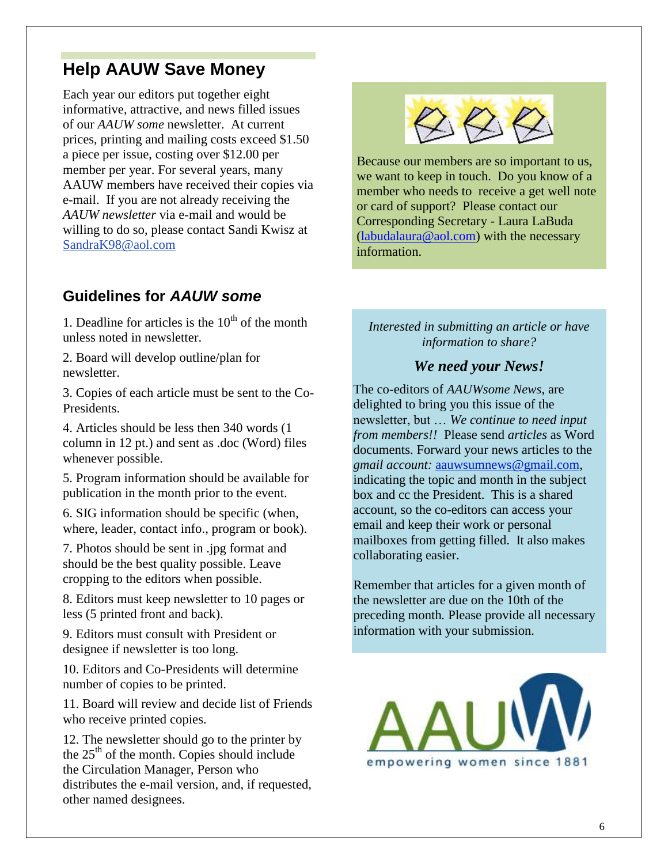# **Help AAUW Save Money**

Each year our editors put together eight informative, attractive, and news filled issues of our *AAUW some* newsletter. At current prices, printing and mailing costs exceed \$1.50 a piece per issue, costing over \$12.00 per member per year. For several years, many AAUW members have received their copies via e-mail. If you are not already receiving the *AAUW newsletter* via e-mail and would be willing to do so, please contact Sandi Kwisz at [SandraK98@aol.com](mailto:SandraK98@aol.com)

# **Guidelines for** *AAUW some*

1. Deadline for articles is the  $10<sup>th</sup>$  of the month unless noted in newsletter.

2. Board will develop outline/plan for newsletter.

3. Copies of each article must be sent to the Co-Presidents.

4. Articles should be less then 340 words (1 column in 12 pt.) and sent as .doc (Word) files whenever possible.

5. Program information should be available for publication in the month prior to the event.

6. SIG information should be specific (when, where, leader, contact info., program or book).

7. Photos should be sent in .jpg format and should be the best quality possible. Leave cropping to the editors when possible.

8. Editors must keep newsletter to 10 pages or less (5 printed front and back).

9. Editors must consult with President or designee if newsletter is too long.

10. Editors and Co-Presidents will determine number of copies to be printed.

11. Board will review and decide list of Friends who receive printed copies.

12. The newsletter should go to the printer by the  $25<sup>th</sup>$  of the month. Copies should include the Circulation Manager, Person who distributes the e-mail version, and, if requested, other named designees.



Because our members are so important to us, we want to keep in touch. Do you know of a member who needs to receive a get well note or card of support? Please contact our Corresponding Secretary - Laura LaBuda  $(labudalaura@aol.com)$  with the necessary information.

### *Interested in submitting an article or have information to share?*

### *We need your News!*

The co-editors of *AAUWsome News*, are delighted to bring you this issue of the newsletter, but … *We continue to need input from members!!* Please send *articles* as Word documents. Forward your news articles to the *gmail account:* [aauwsumnews@gmail.com,](mailto:aauwsum@gmail.com) indicating the topic and month in the subject box and cc the President. This is a shared account, so the co-editors can access your email and keep their work or personal mailboxes from getting filled. It also makes collaborating easier.

Remember that articles for a given month of the newsletter are due on the 10th of the preceding month*.* Please provide all necessary information with your submission.

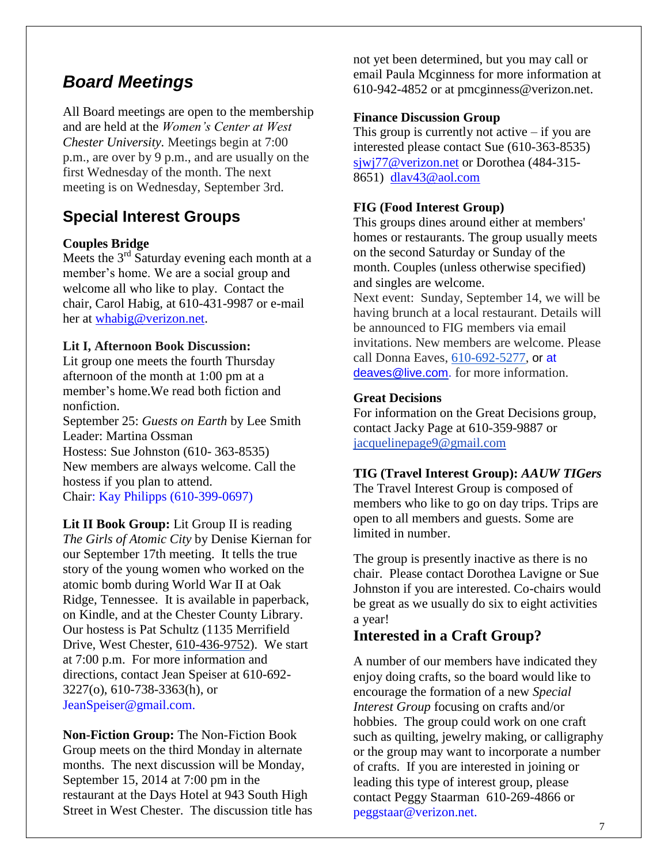# *Board Meetings*

All Board meetings are open to the membership and are held at the *Women's Center at West Chester University.* Meetings begin at 7:00 p.m., are over by 9 p.m., and are usually on the first Wednesday of the month. The next meeting is on Wednesday, September 3rd.

## **Special Interest Groups**

### **Couples Bridge**

Meets the  $3<sup>rd</sup>$  Saturday evening each month at a member's home. We are a social group and welcome all who like to play. Contact the chair, Carol Habig, at 610-431-9987 or e-mail her at [whabig@verizon.net.](mailto:whabig@verizon.net)

### **Lit I, Afternoon Book Discussion:**

Lit group one meets the fourth Thursday afternoon of the month at 1:00 pm at a member's home.We read both fiction and nonfiction.

September 25: *Guests on Earth* by Lee Smith Leader: Martina Ossman Hostess: Sue Johnston (610- 363-8535) New members are always welcome. Call the hostess if you plan to attend. Chair: Kay Philipps (610-399-0697)

**Lit II Book Group:** Lit Group II is reading *The Girls of Atomic City* by Denise Kiernan for our September 17th meeting. It tells the true story of the young women who worked on the atomic bomb during World War II at Oak Ridge, Tennessee. It is available in paperback, on Kindle, and at the Chester County Library. Our hostess is Pat Schultz (1135 Merrifield Drive, West Chester, 610-436-9752). We start at 7:00 p.m. For more information and directions, contact Jean Speiser at 610-692- 3227(o), 610-738-3363(h), or JeanSpeiser@gmail.com.

**Non-Fiction Group:** The Non-Fiction Book Group meets on the third Monday in alternate months. The next discussion will be Monday, September 15, 2014 at 7:00 pm in the restaurant at the Days Hotel at 943 South High Street in West Chester. The discussion title has not yet been determined, but you may call or email Paula Mcginness for more information at 610-942-4852 or at pmcginness@verizon.net.

### **Finance Discussion Group**

This group is currently not active  $-$  if you are interested please contact Sue (610-363-8535) sjwj77@verizon.net or Dorothea (484-315- 8651) [dlav43@aol.com](mailto:dlav43@aol.com)

### **FIG (Food Interest Group)**

This groups dines around either at members' homes or restaurants. The group usually meets on the second Saturday or Sunday of the month. Couples (unless otherwise specified) and singles are welcome.

Next event: Sunday, September 14, we will be having brunch at a local restaurant. Details will be announced to FIG members via email invitations. New members are welcome. Please call Donna Eaves, 610-692-5277, or at [deaves@live.com.](mailto:deaves@live.com) for more information.

### **Great Decisions**

For information on the Great Decisions group, contact Jacky Page at 610-359-9887 or [jacquelinepage9@gmail.com](mailto:jacquelinepage9@gmail.com)

### **TIG (Travel Interest Group):** *AAUW TIGers*

The Travel Interest Group is composed of members who like to go on day trips. Trips are open to all members and guests. Some are limited in number.

The group is presently inactive as there is no chair. Please contact Dorothea Lavigne or Sue Johnston if you are interested. Co-chairs would be great as we usually do six to eight activities a year!

### **Interested in a Craft Group?**

A number of our members have indicated they enjoy doing crafts, so the board would like to encourage the formation of a new *Special Interest Group* focusing on crafts and/or hobbies. The group could work on one craft such as quilting, jewelry making, or calligraphy or the group may want to incorporate a number of crafts. If you are interested in joining or leading this type of interest group, please contact Peggy Staarman 610-269-4866 or peggstaar@verizon.net.